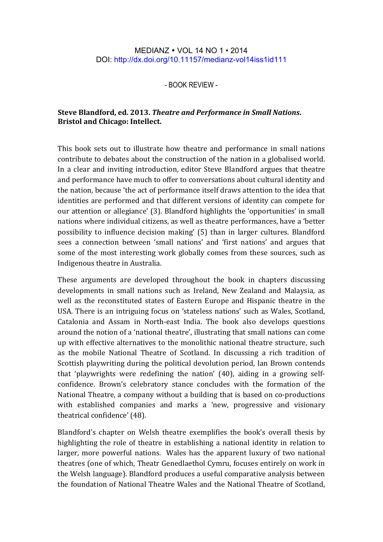## MEDIANZ VOL 14 NO 1 • 2014 DOI: http://dx.doi.org/10.11157/medianz-vol14iss1id111

- BOOK REVIEW -

## **Steve Blandford, ed. 2013.** *Theatre and Performance in Small Nations***. Bristol and Chicago: Intellect.**

This book sets out to illustrate how theatre and performance in small nations contribute to debates about the construction of the nation in a globalised world. In a clear and inviting introduction, editor Steve Blandford argues that theatre and performance have much to offer to conversations about cultural identity and the nation, because 'the act of performance itself draws attention to the idea that identities are performed and that different versions of identity can compete for our attention or allegiance' (3). Blandford highlights the 'opportunities' in small nations where individual citizens, as well as theatre performances, have a 'better possibility to influence decision making' (5) than in larger cultures. Blandford sees a connection between 'small nations' and 'first nations' and argues that some of the most interesting work globally comes from these sources, such as Indigenous theatre in Australia.

These arguments are developed throughout the book in chapters discussing developments in small nations such as Ireland, New Zealand and Malaysia, as well as the reconstituted states of Eastern Europe and Hispanic theatre in the USA. There is an intriguing focus on 'stateless nations' such as Wales, Scotland, Catalonia and Assam in North-east India. The book also develops questions around the notion of a 'national theatre', illustrating that small nations can come up with effective alternatives to the monolithic national theatre structure, such as the mobile National Theatre of Scotland. In discussing a rich tradition of Scottish playwriting during the political devolution period, Ian Brown contends that 'playwrights were redefining the nation'  $(40)$ , aiding in a growing selfconfidence. Brown's celebratory stance concludes with the formation of the National Theatre, a company without a building that is based on co-productions with established companies and marks a 'new, progressive and visionary theatrical confidence' (48).

Blandford's chapter on Welsh theatre exemplifies the book's overall thesis by highlighting the role of theatre in establishing a national identity in relation to larger, more powerful nations. Wales has the apparent luxury of two national theatres (one of which, Theatr Genedlaethol Cymru, focuses entirely on work in the Welsh language). Blandford produces a useful comparative analysis between the foundation of National Theatre Wales and the National Theatre of Scotland,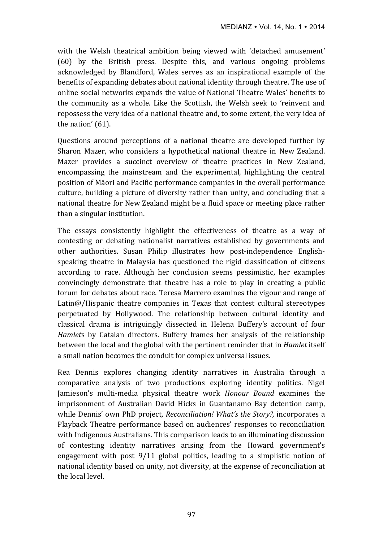with the Welsh theatrical ambition being viewed with 'detached amusement'  $(60)$  by the British press. Despite this, and various ongoing problems acknowledged by Blandford, Wales serves as an inspirational example of the benefits of expanding debates about national identity through theatre. The use of online social networks expands the value of National Theatre Wales' benefits to the community as a whole. Like the Scottish, the Welsh seek to 'reinvent and repossess the very idea of a national theatre and, to some extent, the very idea of the nation'  $(61)$ .

Questions around perceptions of a national theatre are developed further by Sharon Mazer, who considers a hypothetical national theatre in New Zealand. Mazer provides a succinct overview of theatre practices in New Zealand, encompassing the mainstream and the experimental, highlighting the central position of Māori and Pacific performance companies in the overall performance culture, building a picture of diversity rather than unity, and concluding that a national theatre for New Zealand might be a fluid space or meeting place rather than a singular institution.

The essays consistently highlight the effectiveness of theatre as a way of contesting or debating nationalist narratives established by governments and other authorities. Susan Philip illustrates how post-independence Englishspeaking theatre in Malaysia has questioned the rigid classification of citizens according to race. Although her conclusion seems pessimistic, her examples convincingly demonstrate that theatre has a role to play in creating a public forum for debates about race. Teresa Marrero examines the vigour and range of Latin $@/$ Hispanic theatre companies in Texas that contest cultural stereotypes perpetuated by Hollywood. The relationship between cultural identity and classical drama is intriguingly dissected in Helena Buffery's account of four *Hamlets* by Catalan directors. Buffery frames her analysis of the relationship between the local and the global with the pertinent reminder that in *Hamlet* itself a small nation becomes the conduit for complex universal issues.

Rea Dennis explores changing identity narratives in Australia through a comparative analysis of two productions exploring identity politics. Nigel Jamieson's multi-media physical theatre work *Honour Bound* examines the imprisonment of Australian David Hicks in Guantanamo Bay detention camp, while Dennis' own PhD project, *Reconciliation!* What's the Story?, incorporates a Playback Theatre performance based on audiences' responses to reconciliation with Indigenous Australians. This comparison leads to an illuminating discussion of contesting identity narratives arising from the Howard government's engagement with post  $9/11$  global politics, leading to a simplistic notion of national identity based on unity, not diversity, at the expense of reconciliation at the local level.